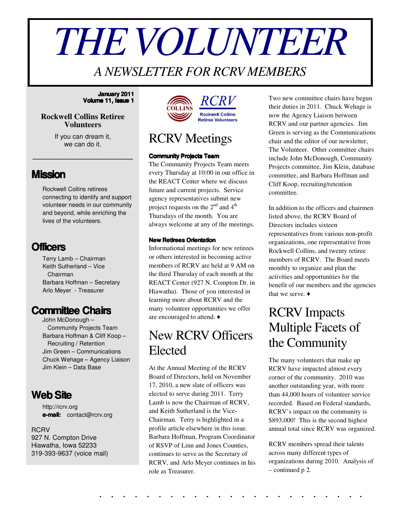# *THEVOLUNTEER*

## *A NEWSLETTER FOR RCRV MEMBERS*

#### **January 2011 Volume 11, Issue 1**

#### **Rockwell Collins Retiree Volunteers**

If you can dream it, we can do it.

\_\_\_\_\_\_\_\_\_\_\_\_\_\_\_\_\_

### **Mission**

Rockwell Collins retirees connecting to identify and support volunteer needs in our community and beyond, while enriching the lives of the volunteers.

## **Officers**

Terry Lamb – Chairman Keith Sutherland – Vice Chairman Barbara Hoffman – Secretary Arlo Meyer - Treasurer

## **Committee Chairs**

John McDonough – Community Projects Team Barbara Hoffman & Cliff Koop – Recruiting / Retention Jim Green – Communications Chuck Wehage – Agency Liaison Jim Klein – Data Base

## **WebSite**

http://rcrv.org **e-mail:** contact@rcrv.org

**RCRV** 927 N. Compton Drive Hiawatha, Iowa 52233 319-393-9637 (voice mail)



## RCRV Meetings

#### **Community Projects Team**

The Community Projects Team meets every Thursday at 10:00 in our office in the REACT Center where we discuss future and current projects. Service agency representatives submit new project requests on the  $2^{nd}$  and  $4^{th}$ Thursdays of the month. You are always welcome at any of the meetings.

#### **New Retirees Orientation**

Informational meetings for new retirees or others interested in becoming active members of RCRV are held at 9 AM on the third Thursday of each month at the REACT Center (927 N. Compton Dr. in Hiawatha). Those of you interested in learning more about RCRV and the many volunteer opportunities we offer are encouraged to attend.

## New RCRV Officers Elected

At the Annual Meeting of the RCRV Board of Directors, held on November 17, 2010, a new slate of officers was elected to serve during 2011. Terry Lamb is now the Chairman of RCRV, and Keith Sutherland is the Vice-Chairman. Terry is highlighted in a profile article elsewhere in this issue. Barbara Hoffman, Program Coordinator of RSVP of Linn and Jones Counties, continues to serve as the Secretary of RCRV, and Arlo Meyer continues in his role as Treasurer.

Two new committee chairs have begun their duties in 2011. Chuck Wehage is now the Agency Liaison between RCRV and our partner agencies. Jim Green is serving as the Communications chair and the editor of our newsletter, The Volunteer. Other committee chairs include John McDonough, Community Projects committee, Jim Klein, database committee, and Barbara Hoffman and Cliff Koop, recruiting/retention committee.

In addition to the officers and chairmen listed above, the RCRV Board of Directors includes sixteen representatives from various non-profit organizations, one representative from Rockwell Collins, and twenty retiree members of RCRV. The Board meets monthly to organize and plan the activities and opportunities for the benefit of our members and the agencies that we serve.  $\triangleleft$ 

# RCRV Impacts Multiple Facets of the Community

The many volunteers that make up RCRV have impacted almost every corner of the community. 2010 was another outstanding year, with more than 44,000 hours of volunteer service recorded. Based on Federal standards, RCRV's impact on the community is \$893,000! This is the second highest annual total since RCRV was organized.

RCRV members spread their talents across many different types of organizations during 2010. Analysis of – continued p 2.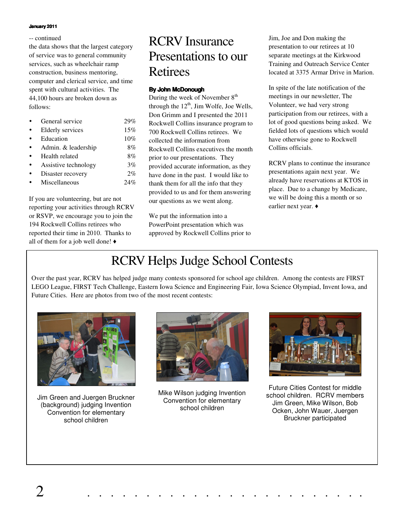#### **January 2011**

#### -- continued

the data shows that the largest category of service was to general community services, such as wheelchair ramp construction, business mentoring, computer and clerical service, and time spent with cultural activities. The 44,100 hours are broken down as follows:

| General service      | 29%   |
|----------------------|-------|
| Elderly services     | 15%   |
| Education            | 10%   |
| Admin. & leadership  | 8%    |
| Health related       | 8%    |
| Assistive technology | 3%    |
| Disaster recovery    | $2\%$ |
| Miscellaneous        | 24%   |
|                      |       |

If you are volunteering, but are not reporting your activities through RCRV or RSVP, we encourage you to join the 194 Rockwell Collins retirees who reported their time in 2010. Thanks to all of them for a job well done!  $\triangleleft$ 

## RCRV Insurance Presentations to our Retirees

#### **By John McDonough**

During the week of November  $8<sup>th</sup>$ through the  $12^{th}$ , Jim Wolfe, Joe Wells, Don Grimm and I presented the 2011 Rockwell Collins insurance program to 700 Rockwell Collins retirees. We collected the information from Rockwell Collins executives the month prior to our presentations. They provided accurate information, as they have done in the past. I would like to thank them for all the info that they provided to us and for them answering our questions as we went along.

We put the information into a PowerPoint presentation which was approved by Rockwell Collins prior to Jim, Joe and Don making the presentation to our retirees at 10 separate meetings at the Kirkwood Training and Outreach Service Center located at 3375 Armar Drive in Marion.

In spite of the late notification of the meetings in our newsletter, The Volunteer, we had very strong participation from our retirees, with a lot of good questions being asked. We fielded lots of questions which would have otherwise gone to Rockwell Collins officials.

RCRV plans to continue the insurance presentations again next year. We already have reservations at KTOS in place. Due to a change by Medicare, we will be doing this a month or so earlier next year.  $\triangleleft$ 

## RCRV Helps Judge School Contests

Over the past year, RCRV has helped judge many contests sponsored for school age children. Among the contests are FIRST LEGO League, FIRST Tech Challenge, Eastern Iowa Science and Engineering Fair, Iowa Science Olympiad, Invent Iowa, and Future Cities. Here are photos from two of the most recent contests:



Jim Green and Juergen Bruckner (background) judging Invention Convention for elementary school children



Mike Wilson judging Invention Convention for elementary school children



Future Cities Contest for middle school children. RCRV members Jim Green, Mike Wilson, Bob Ocken, John Wauer, Juergen Bruckner participated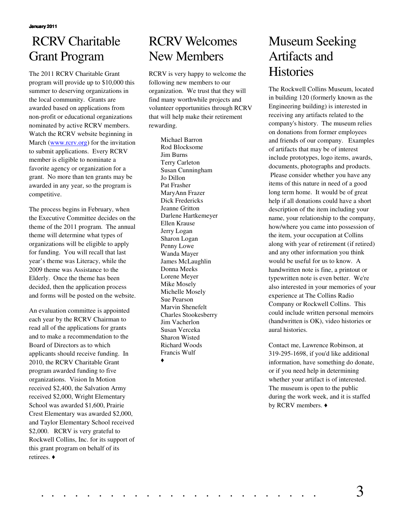# RCRV Charitable Grant Program

The 2011 RCRV Charitable Grant program will provide up to \$10,000 this summer to deserving organizations in the local community. Grants are awarded based on applications from non-profit or educational organizations nominated by active RCRV members. Watch the RCRV website beginning in March (www.rcrv.org) for the invitation to submit applications. Every RCRV member is eligible to nominate a favorite agency or organization for a grant. No more than ten grants may be awarded in any year, so the program is competitive.

The process begins in February, when the Executive Committee decides on the theme of the 2011 program. The annual theme will determine what types of organizations will be eligible to apply for funding. You will recall that last year's theme was Literacy, while the 2009 theme was Assistance to the Elderly. Once the theme has been decided, then the application process and forms will be posted on the website.

An evaluation committee is appointed each year by the RCRV Chairman to read all of the applications for grants and to make a recommendation to the Board of Directors as to which applicants should receive funding. In 2010, the RCRV Charitable Grant program awarded funding to five organizations. Vision In Motion received \$2,400, the Salvation Army received \$2,000, Wright Elementary School was awarded \$1,600, Prairie Crest Elementary was awarded \$2,000, and Taylor Elementary School received \$2,000. RCRV is very grateful to Rockwell Collins, Inc. for its support of this grant program on behalf of its retirees.

# RCRV Welcomes New Members

RCRV is very happy to welcome the following new members to our organization. We trust that they will find many worthwhile projects and volunteer opportunities through RCRV that will help make their retirement rewarding.

> Michael Barron Rod Blocksome Jim Burns Terry Carleton Susan Cunningham Jo Dillon Pat Frasher MaryAnn Frazer Dick Fredericks Jeanne Gritton Darlene Hartkemeyer Ellen Krause Jerry Logan Sharon Logan Penny Lowe Wanda Mayer James McLaughlin Donna Meeks Lorene Meyer Mike Mosely Michelle Mosely Sue Pearson Marvin Shenefelt Charles Stookesberry Jim Vacherlon Susan Verceka Sharon Wisted Richard Woods Francis Wulf ♦

## Museum Seeking Artifacts and **Histories**

The Rockwell Collins Museum, located in building 120 (formerly known as the Engineering building) is interested in receiving any artifacts related to the company's history. The museum relies on donations from former employees and friends of our company. Examples of artifacts that may be of interest include prototypes, logo items, awards, documents, photographs and products. Please consider whether you have any items of this nature in need of a good long term home. It would be of great help if all donations could have a short description of the item including your name, your relationship to the company, how/where you came into possession of the item, your occupation at Collins along with year of retirement (if retired) and any other information you think would be useful for us to know. A handwritten note is fine, a printout or typewritten note is even better. We're also interested in your memories of your experience at The Collins Radio Company or Rockwell Collins. This could include written personal memoirs (handwritten is OK), video histories or aural histories.

Contact me, Lawrence Robinson, at 319-295-1698, if you'd like additional information, have something do donate, or if you need help in determining whether your artifact is of interested. The museum is open to the public during the work week, and it is staffed by RCRV members.